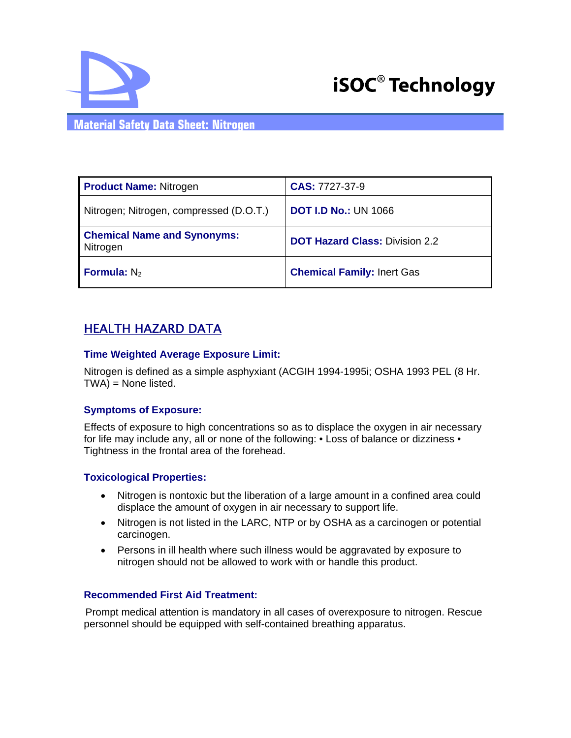



### **Material Safety Data Sheet: Nitrogen**

| <b>Product Name: Nitrogen</b>                  | CAS: 7727-37-9                        |
|------------------------------------------------|---------------------------------------|
| Nitrogen; Nitrogen, compressed (D.O.T.)        | <b>DOT I.D No.: UN 1066</b>           |
| <b>Chemical Name and Synonyms:</b><br>Nitrogen | <b>DOT Hazard Class: Division 2.2</b> |
| <b>Formula:</b> $N_2$                          | <b>Chemical Family: Inert Gas</b>     |

## HEALTH HAZARD DATA

#### **Time Weighted Average Exposure Limit:**

Nitrogen is defined as a simple asphyxiant (ACGIH 1994-1995i; OSHA 1993 PEL (8 Hr. TWA) = None listed.

#### **Symptoms of Exposure:**

Effects of exposure to high concentrations so as to displace the oxygen in air necessary for life may include any, all or none of the following: • Loss of balance or dizziness • Tightness in the frontal area of the forehead.

#### **Toxicological Properties:**

- Nitrogen is nontoxic but the liberation of a large amount in a confined area could displace the amount of oxygen in air necessary to support life.
- Nitrogen is not listed in the LARC, NTP or by OSHA as a carcinogen or potential carcinogen.
- Persons in ill health where such illness would be aggravated by exposure to nitrogen should not be allowed to work with or handle this product.

#### **Recommended First Aid Treatment:**

Prompt medical attention is mandatory in all cases of overexposure to nitrogen. Rescue personnel should be equipped with self-contained breathing apparatus.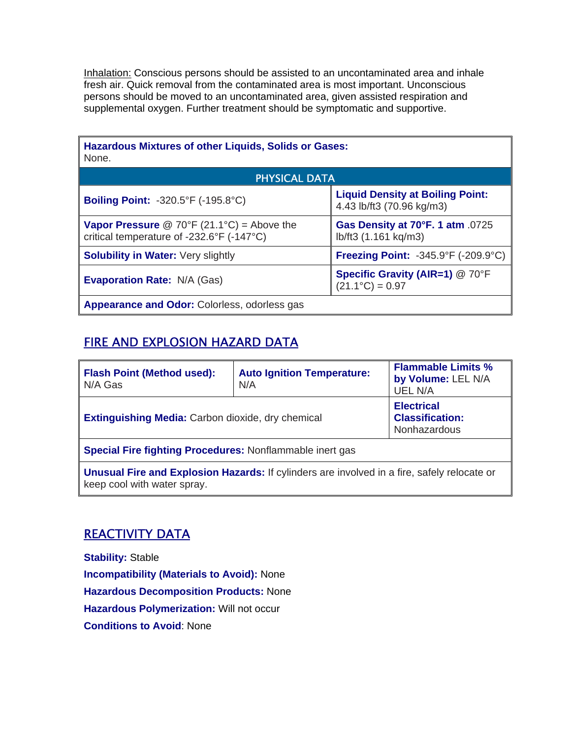Inhalation: Conscious persons should be assisted to an uncontaminated area and inhale fresh air. Quick removal from the contaminated area is most important. Unconscious persons should be moved to an uncontaminated area, given assisted respiration and supplemental oxygen. Further treatment should be symptomatic and supportive.

| <b>Hazardous Mixtures of other Liquids, Solids or Gases:</b><br>None.                          |                                                                      |  |  |
|------------------------------------------------------------------------------------------------|----------------------------------------------------------------------|--|--|
| <b>PHYSICAL DATA</b>                                                                           |                                                                      |  |  |
| <b>Boiling Point: -320.5°F (-195.8°C)</b>                                                      | <b>Liquid Density at Boiling Point:</b><br>4.43 lb/ft3 (70.96 kg/m3) |  |  |
| <b>Vapor Pressure</b> @ 70°F (21.1°C) = Above the<br>critical temperature of -232.6°F (-147°C) | Gas Density at 70°F. 1 atm .0725<br>lb/ft3 (1.161 kg/m3)             |  |  |
| <b>Solubility in Water: Very slightly</b>                                                      | <b>Freezing Point: -345.9°F (-209.9°C)</b>                           |  |  |
| <b>Evaporation Rate: N/A (Gas)</b>                                                             | <b>Specific Gravity (AIR=1) @ 70°F</b><br>$(21.1^{\circ}C) = 0.97$   |  |  |
| <b>Appearance and Odor:</b> Colorless, odorless gas                                            |                                                                      |  |  |

# FIRE AND EXPLOSION HAZARD DATA

| <b>Flash Point (Method used):</b><br>N/A Gas                                                                                      | <b>Auto Ignition Temperature:</b><br>N/A | <b>Flammable Limits %</b><br>by Volume: LEL N/A<br><b>UEL N/A</b>  |  |
|-----------------------------------------------------------------------------------------------------------------------------------|------------------------------------------|--------------------------------------------------------------------|--|
| <b>Extinguishing Media:</b> Carbon dioxide, dry chemical                                                                          |                                          | <b>Electrical</b><br><b>Classification:</b><br><b>Nonhazardous</b> |  |
| <b>Special Fire fighting Procedures: Nonflammable inert gas</b>                                                                   |                                          |                                                                    |  |
| <b>Unusual Fire and Explosion Hazards: If cylinders are involved in a fire, safely relocate or</b><br>keep cool with water spray. |                                          |                                                                    |  |

# REACTIVITY DATA

**Stability:** Stable **Incompatibility (Materials to Avoid):** None **Hazardous Decomposition Products:** None **Hazardous Polymerization:** Will not occur **Conditions to Avoid**: None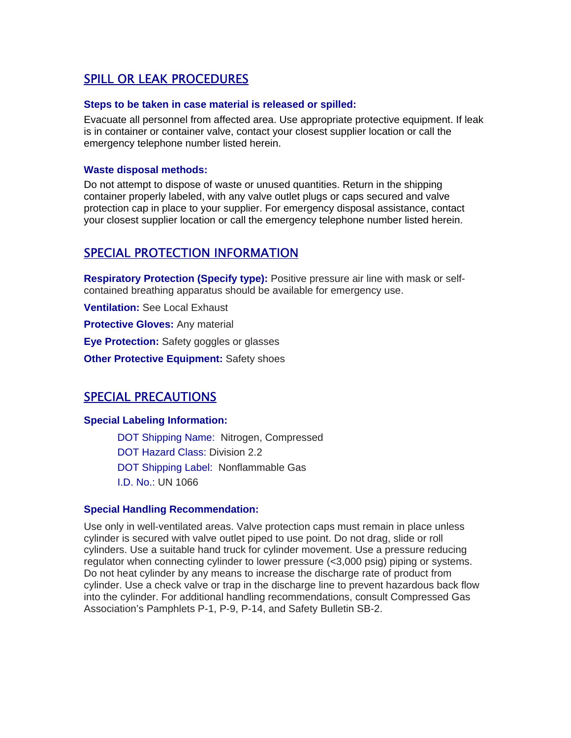## SPILL OR LEAK PROCEDURES

#### **Steps to be taken in case material is released or spilled:**

Evacuate all personnel from affected area. Use appropriate protective equipment. If leak is in container or container valve, contact your closest supplier location or call the emergency telephone number listed herein.

#### **Waste disposal methods:**

Do not attempt to dispose of waste or unused quantities. Return in the shipping container properly labeled, with any valve outlet plugs or caps secured and valve protection cap in place to your supplier. For emergency disposal assistance, contact your closest supplier location or call the emergency telephone number listed herein.

## SPECIAL PROTECTION INFORMATION

**Respiratory Protection (Specify type):** Positive pressure air line with mask or selfcontained breathing apparatus should be available for emergency use.

**Ventilation:** See Local Exhaust

**Protective Gloves:** Any material

**Eye Protection:** Safety goggles or glasses

**Other Protective Equipment: Safety shoes** 

## SPECIAL PRECAUTIONS

#### **Special Labeling Information:**

DOT Shipping Name: Nitrogen, Compressed DOT Hazard Class: Division 2.2 DOT Shipping Label: Nonflammable Gas I.D. No.: UN 1066

#### **Special Handling Recommendation:**

Use only in well-ventilated areas. Valve protection caps must remain in place unless cylinder is secured with valve outlet piped to use point. Do not drag, slide or roll cylinders. Use a suitable hand truck for cylinder movement. Use a pressure reducing regulator when connecting cylinder to lower pressure (<3,000 psig) piping or systems. Do not heat cylinder by any means to increase the discharge rate of product from cylinder. Use a check valve or trap in the discharge line to prevent hazardous back flow into the cylinder. For additional handling recommendations, consult Compressed Gas Association's Pamphlets P-1, P-9, P-14, and Safety Bulletin SB-2.